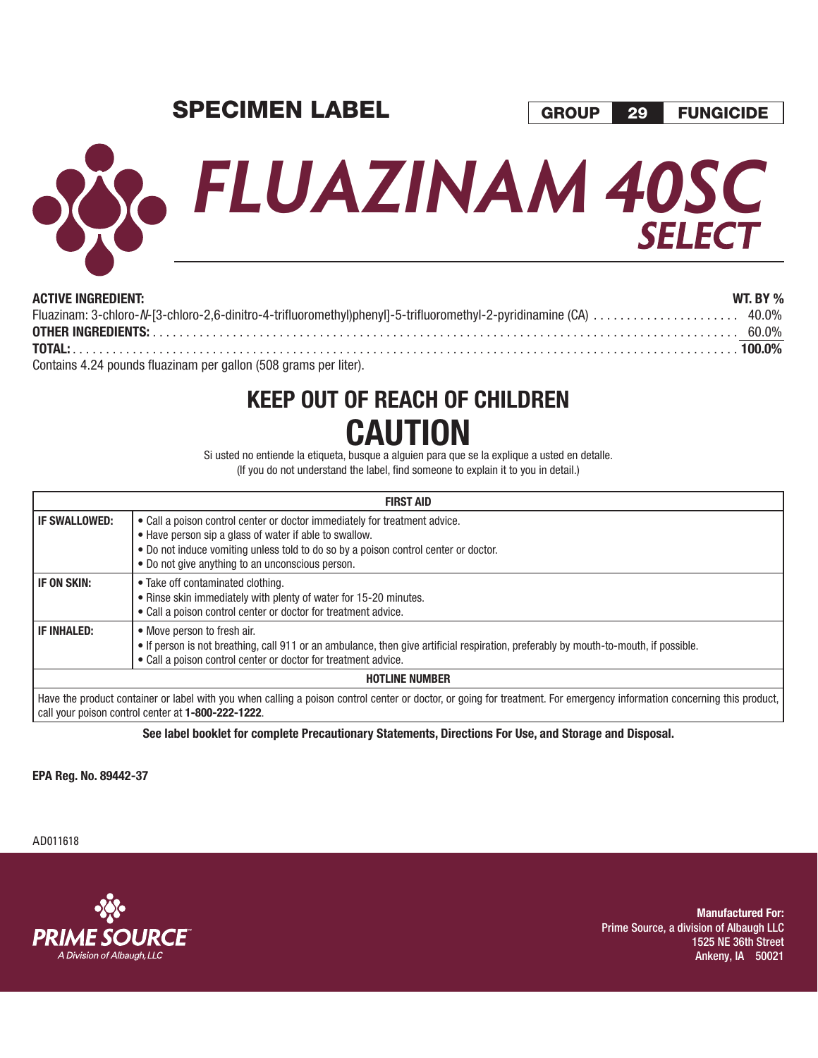## **SPECIMEN LABEL**

# **FLUAZINAM 40SC SELECT**

| <b>ACTIVE INGREDIENT:</b>                                        | WT. BY $\%$ |
|------------------------------------------------------------------|-------------|
|                                                                  |             |
|                                                                  |             |
|                                                                  |             |
| Contains 4.24 pounds fluazinam per gallon (508 grams per liter). |             |

## **KEEP OUT OF REACH OF CHILDREN CAUTION**

Si usted no entiende la etiqueta, busque a alguien para que se la explique a usted en detalle. (If you do not understand the label, find someone to explain it to you in detail.)

| <b>FIRST AID</b>      |                                                                                                                                                                                                                                                                                 |  |  |  |  |
|-----------------------|---------------------------------------------------------------------------------------------------------------------------------------------------------------------------------------------------------------------------------------------------------------------------------|--|--|--|--|
| <b>IF SWALLOWED:</b>  | • Call a poison control center or doctor immediately for treatment advice.<br>• Have person sip a glass of water if able to swallow.<br>• Do not induce vomiting unless told to do so by a poison control center or doctor.<br>• Do not give anything to an unconscious person. |  |  |  |  |
| IF ON SKIN:           | • Take off contaminated clothing.<br>• Rinse skin immediately with plenty of water for 15-20 minutes.<br>• Call a poison control center or doctor for treatment advice.                                                                                                         |  |  |  |  |
| <b>IF INHALED:</b>    | • Move person to fresh air.<br>• If person is not breathing, call 911 or an ambulance, then give artificial respiration, preferably by mouth-to-mouth, if possible.<br>• Call a poison control center or doctor for treatment advice.                                           |  |  |  |  |
| <b>HOTLINE NUMBER</b> |                                                                                                                                                                                                                                                                                 |  |  |  |  |
|                       | Have the product container or label with you when calling a poison control center or doctor, or going for treatment. For emergency information concerning this product,<br>call your poison control center at 1-800-222-1222.                                                   |  |  |  |  |

**See label booklet for complete Precautionary Statements, Directions For Use, and Storage and Disposal.**

**EPA Reg. No. 89442-37** 

AD011618



**Manufactured For:** Prime Source, a division of Albaugh LLC 1525 NE 36th Street Ankeny, IA 50021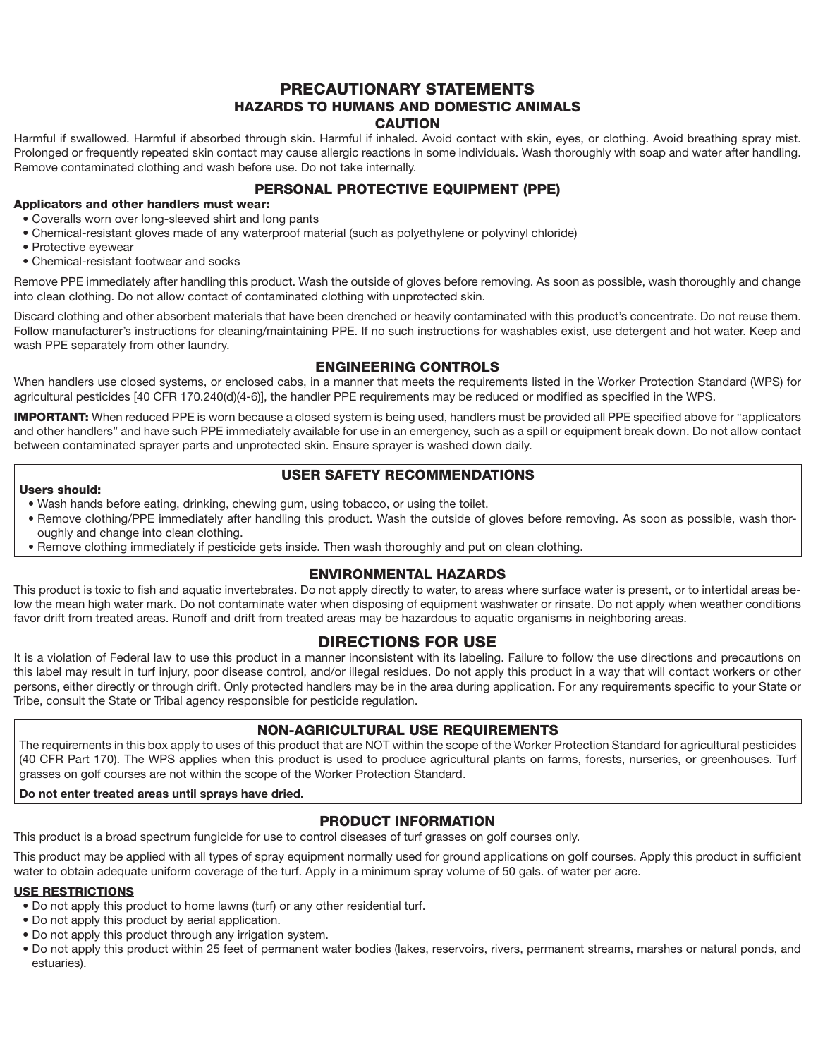#### PRECAUTIONARY STATEMENTS HAZARDS TO HUMANS AND DOMESTIC ANIMALS **CAUTION**

Harmful if swallowed. Harmful if absorbed through skin. Harmful if inhaled. Avoid contact with skin, eyes, or clothing. Avoid breathing spray mist. Prolonged or frequently repeated skin contact may cause allergic reactions in some individuals. Wash thoroughly with soap and water after handling. Remove contaminated clothing and wash before use. Do not take internally.

#### PERSONAL PROTECTIVE EQUIPMENT (PPE)

#### Applicators and other handlers must wear:

- Coveralls worn over long-sleeved shirt and long pants
- Chemical-resistant gloves made of any waterproof material (such as polyethylene or polyvinyl chloride)
- Protective eyewear
- Chemical-resistant footwear and socks

Remove PPE immediately after handling this product. Wash the outside of gloves before removing. As soon as possible, wash thoroughly and change into clean clothing. Do not allow contact of contaminated clothing with unprotected skin.

Discard clothing and other absorbent materials that have been drenched or heavily contaminated with this product's concentrate. Do not reuse them. Follow manufacturer's instructions for cleaning/maintaining PPE. If no such instructions for washables exist, use detergent and hot water. Keep and wash PPE separately from other laundry.

#### ENGINEERING CONTROLS

When handlers use closed systems, or enclosed cabs, in a manner that meets the requirements listed in the Worker Protection Standard (WPS) for agricultural pesticides [40 CFR 170.240(d)(4-6)], the handler PPE requirements may be reduced or modified as specified in the WPS.

**IMPORTANT:** When reduced PPE is worn because a closed system is being used, handlers must be provided all PPE specified above for "applicators" and other handlers" and have such PPE immediately available for use in an emergency, such as a spill or equipment break down. Do not allow contact between contaminated sprayer parts and unprotected skin. Ensure sprayer is washed down daily.

#### USER SAFETY RECOMMENDATIONS

#### Users should:

- Wash hands before eating, drinking, chewing gum, using tobacco, or using the toilet.
- Remove clothing/PPE immediately after handling this product. Wash the outside of gloves before removing. As soon as possible, wash thoroughly and change into clean clothing.
- Remove clothing immediately if pesticide gets inside. Then wash thoroughly and put on clean clothing.

#### ENVIRONMENTAL HAZARDS

This product is toxic to fish and aquatic invertebrates. Do not apply directly to water, to areas where surface water is present, or to intertidal areas below the mean high water mark. Do not contaminate water when disposing of equipment washwater or rinsate. Do not apply when weather conditions favor drift from treated areas. Runoff and drift from treated areas may be hazardous to aquatic organisms in neighboring areas.

#### DIRECTIONS FOR USE

It is a violation of Federal law to use this product in a manner inconsistent with its labeling. Failure to follow the use directions and precautions on this label may result in turf injury, poor disease control, and/or illegal residues. Do not apply this product in a way that will contact workers or other persons, either directly or through drift. Only protected handlers may be in the area during application. For any requirements specific to your State or Tribe, consult the State or Tribal agency responsible for pesticide regulation.

#### NON-AGRICULTURAL USE REQUIREMENTS

The requirements in this box apply to uses of this product that are NOT within the scope of the Worker Protection Standard for agricultural pesticides (40 CFR Part 170). The WPS applies when this product is used to produce agricultural plants on farms, forests, nurseries, or greenhouses. Turf grasses on golf courses are not within the scope of the Worker Protection Standard.

#### **Do not enter treated areas until sprays have dried.**

#### PRODUCT INFORMATION

This product is a broad spectrum fungicide for use to control diseases of turf grasses on golf courses only.

This product may be applied with all types of spray equipment normally used for ground applications on golf courses. Apply this product in sufficient water to obtain adequate uniform coverage of the turf. Apply in a minimum spray volume of 50 gals. of water per acre.

#### USE RESTRICTIONS

- Do not apply this product to home lawns (turf) or any other residential turf.
- Do not apply this product by aerial application.
- Do not apply this product through any irrigation system.
- Do not apply this product within 25 feet of permanent water bodies (lakes, reservoirs, rivers, permanent streams, marshes or natural ponds, and estuaries).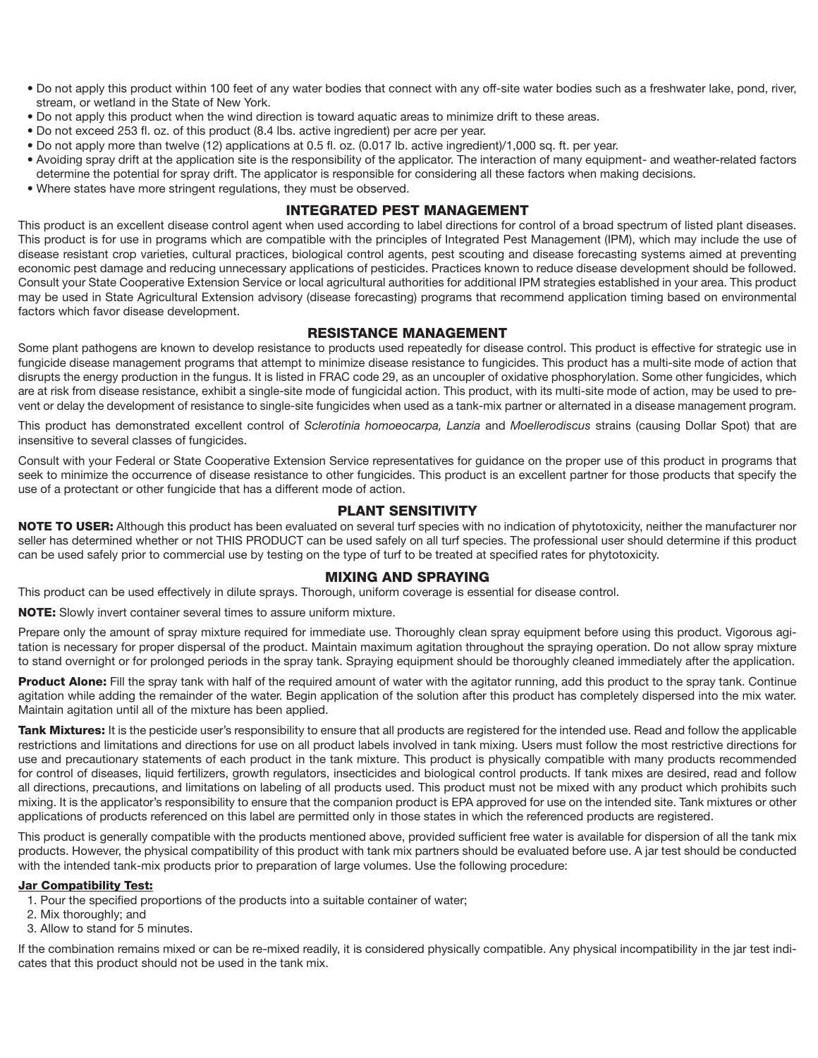- Do not apply this product within 100 feet of any water bodies that connect with any off-site water bodies such as a freshwater lake, pond, river, stream, or wetland in the State of New York.
- Do not apply this product when the wind direction is toward aquatic areas to minimize drift to these areas.
- Do not exceed 253 fl. oz. of this product (8.4 lbs. active ingredient) per acre per year.
- Do not apply more than twelve (12) applications at 0.5 fl. oz. (0.017 lb. active ingredient)/1,000 sq. ft. per year.
- Avoiding spray drift at the application site is the responsibility of the applicator. The interaction of many equipment- and weather-related factors determine the potential for spray drift. The applicator is responsible for considering all these factors when making decisions.
- Where states have more stringent regulations, they must be observed.

#### INTEGRATED PEST MANAGEMENT

This product is an excellent disease control agent when used according to label directions for control of a broad spectrum of listed plant diseases. This product is for use in programs which are compatible with the principles of Integrated Pest Management (IPM), which may include the use of disease resistant crop varieties, cultural practices, biological control agents, pest scouting and disease forecasting systems aimed at preventing economic pest damage and reducing unnecessary applications of pesticides. Practices known to reduce disease development should be followed. Consult your State Cooperative Extension Service or local agricultural authorities for additional IPM strategies established in your area. This product may be used in State Agricultural Extension advisory (disease forecasting) programs that recommend application timing based on environmental factors which favor disease development.

#### RESISTANCE MANAGEMENT

Some plant pathogens are known to develop resistance to products used repeatedly for disease control. This product is effective for strategic use in fungicide disease management programs that attempt to minimize disease resistance to fungicides. This product has a multi-site mode of action that disrupts the energy production in the fungus. It is listed in FRAC code 29, as an uncoupler of oxidative phosphorylation. Some other fungicides, which are at risk from disease resistance, exhibit a single-site mode of fungicidal action. This product, with its multi-site mode of action, may be used to prevent or delay the development of resistance to single-site fungicides when used as a tank-mix partner or alternated in a disease management program.

This product has demonstrated excellent control of *Sclerotinia homoeocarpa, Lanzia* and *Moellerodiscus* strains (causing Dollar Spot) that are insensitive to several classes of fungicides.

Consult with your Federal or State Cooperative Extension Service representatives for guidance on the proper use of this product in programs that seek to minimize the occurrence of disease resistance to other fungicides. This product is an excellent partner for those products that specify the use of a protectant or other fungicide that has a different mode of action.

#### PLANT SENSITIVITY

NOTE TO USER: Although this product has been evaluated on several turf species with no indication of phytotoxicity, neither the manufacturer nor seller has determined whether or not THIS PRODUCT can be used safely on all turf species. The professional user should determine if this product can be used safely prior to commercial use by testing on the type of turf to be treated at specified rates for phytotoxicity.

#### MIXING AND SPRAYING

This product can be used effectively in dilute sprays. Thorough, uniform coverage is essential for disease control.

NOTE: Slowly invert container several times to assure uniform mixture.

Prepare only the amount of spray mixture required for immediate use. Thoroughly clean spray equipment before using this product. Vigorous agitation is necessary for proper dispersal of the product. Maintain maximum agitation throughout the spraying operation. Do not allow spray mixture to stand overnight or for prolonged periods in the spray tank. Spraying equipment should be thoroughly cleaned immediately after the application.

Product Alone: Fill the spray tank with half of the required amount of water with the agitator running, add this product to the spray tank. Continue agitation while adding the remainder of the water. Begin application of the solution after this product has completely dispersed into the mix water. Maintain agitation until all of the mixture has been applied.

Tank Mixtures: It is the pesticide user's responsibility to ensure that all products are registered for the intended use. Read and follow the applicable restrictions and limitations and directions for use on all product labels involved in tank mixing. Users must follow the most restrictive directions for use and precautionary statements of each product in the tank mixture. This product is physically compatible with many products recommended for control of diseases, liquid fertilizers, growth regulators, insecticides and biological control products. If tank mixes are desired, read and follow all directions, precautions, and limitations on labeling of all products used. This product must not be mixed with any product which prohibits such mixing. It is the applicator's responsibility to ensure that the companion product is EPA approved for use on the intended site. Tank mixtures or other applications of products referenced on this label are permitted only in those states in which the referenced products are registered.

This product is generally compatible with the products mentioned above, provided sufficient free water is available for dispersion of all the tank mix products. However, the physical compatibility of this product with tank mix partners should be evaluated before use. A jar test should be conducted with the intended tank-mix products prior to preparation of large volumes. Use the following procedure:

#### Jar Compatibility Test:

- 1. Pour the specified proportions of the products into a suitable container of water;
- 2. Mix thoroughly; and
- 3. Allow to stand for 5 minutes.

If the combination remains mixed or can be re-mixed readily, it is considered physically compatible. Any physical incompatibility in the jar test indicates that this product should not be used in the tank mix.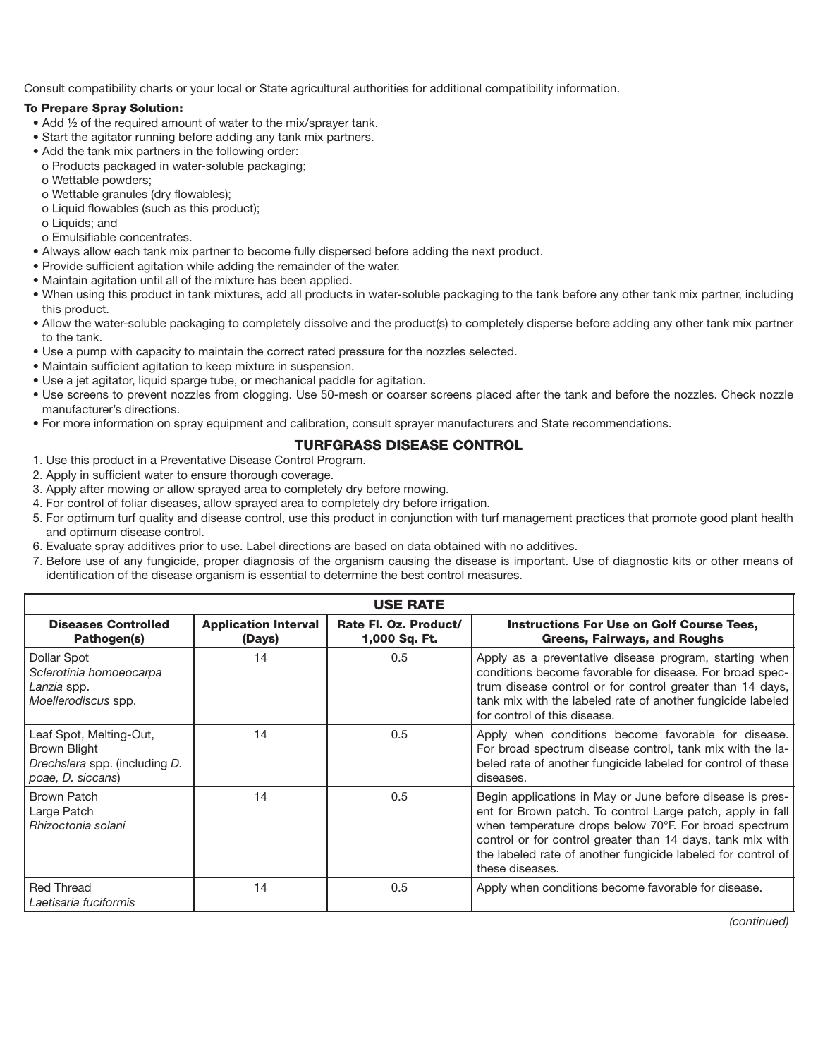Consult compatibility charts or your local or State agricultural authorities for additional compatibility information.

#### To Prepare Spray Solution:

- Add ½ of the required amount of water to the mix/sprayer tank.
- Start the agitator running before adding any tank mix partners.
- Add the tank mix partners in the following order:
- o Products packaged in water-soluble packaging;
- o Wettable powders;
- o Wettable granules (dry flowables);
- o Liquid flowables (such as this product);
- o Liquids; and
- o Emulsifiable concentrates.
- Always allow each tank mix partner to become fully dispersed before adding the next product.
- Provide sufficient agitation while adding the remainder of the water.
- Maintain agitation until all of the mixture has been applied.
- When using this product in tank mixtures, add all products in water-soluble packaging to the tank before any other tank mix partner, including this product.
- Allow the water-soluble packaging to completely dissolve and the product(s) to completely disperse before adding any other tank mix partner to the tank.
- Use a pump with capacity to maintain the correct rated pressure for the nozzles selected.
- Maintain sufficient agitation to keep mixture in suspension.
- Use a jet agitator, liquid sparge tube, or mechanical paddle for agitation.
- Use screens to prevent nozzles from clogging. Use 50-mesh or coarser screens placed after the tank and before the nozzles. Check nozzle manufacturer's directions.
- For more information on spray equipment and calibration, consult sprayer manufacturers and State recommendations.

#### TURFGRASS DISEASE CONTROL

- 1. Use this product in a Preventative Disease Control Program.
- 2. Apply in sufficient water to ensure thorough coverage.
- 3. Apply after mowing or allow sprayed area to completely dry before mowing.
- 4. For control of foliar diseases, allow sprayed area to completely dry before irrigation. 5. For optimum turf quality and disease control, use this product in conjunction with turf management practices that promote good plant health and optimum disease control.
- 6. Evaluate spray additives prior to use. Label directions are based on data obtained with no additives.
- 7. Before use of any fungicide, proper diagnosis of the organism causing the disease is important. Use of diagnostic kits or other means of identification of the disease organism is essential to determine the best control measures.

| <b>USE RATE</b>                                                                               |                                       |                                        |                                                                                                                                                                                                                                                                                                                                   |  |  |
|-----------------------------------------------------------------------------------------------|---------------------------------------|----------------------------------------|-----------------------------------------------------------------------------------------------------------------------------------------------------------------------------------------------------------------------------------------------------------------------------------------------------------------------------------|--|--|
| <b>Diseases Controlled</b><br>Pathogen(s)                                                     | <b>Application Interval</b><br>(Days) | Rate Fl. Oz. Product/<br>1,000 Sq. Ft. | <b>Instructions For Use on Golf Course Tees,</b><br><b>Greens, Fairways, and Roughs</b>                                                                                                                                                                                                                                           |  |  |
| Dollar Spot<br>Sclerotinia homoeocarpa<br>Lanzia spp.<br>Moellerodiscus spp.                  | 14                                    | 0.5                                    | Apply as a preventative disease program, starting when<br>conditions become favorable for disease. For broad spec-<br>trum disease control or for control greater than 14 days,<br>tank mix with the labeled rate of another fungicide labeled<br>for control of this disease.                                                    |  |  |
| Leaf Spot, Melting-Out,<br>Brown Blight<br>Drechslera spp. (including D.<br>poae, D. siccans) | 14                                    | 0.5                                    | Apply when conditions become favorable for disease.<br>For broad spectrum disease control, tank mix with the la-<br>beled rate of another fungicide labeled for control of these<br>diseases.                                                                                                                                     |  |  |
| <b>Brown Patch</b><br>Large Patch<br>Rhizoctonia solani                                       | 14                                    | 0.5                                    | Begin applications in May or June before disease is pres-<br>ent for Brown patch. To control Large patch, apply in fall<br>when temperature drops below 70°F. For broad spectrum<br>control or for control greater than 14 days, tank mix with<br>the labeled rate of another fungicide labeled for control of<br>these diseases. |  |  |
| <b>Red Thread</b><br>Laetisaria fuciformis                                                    | 14                                    | 0.5                                    | Apply when conditions become favorable for disease.                                                                                                                                                                                                                                                                               |  |  |

*(continued)*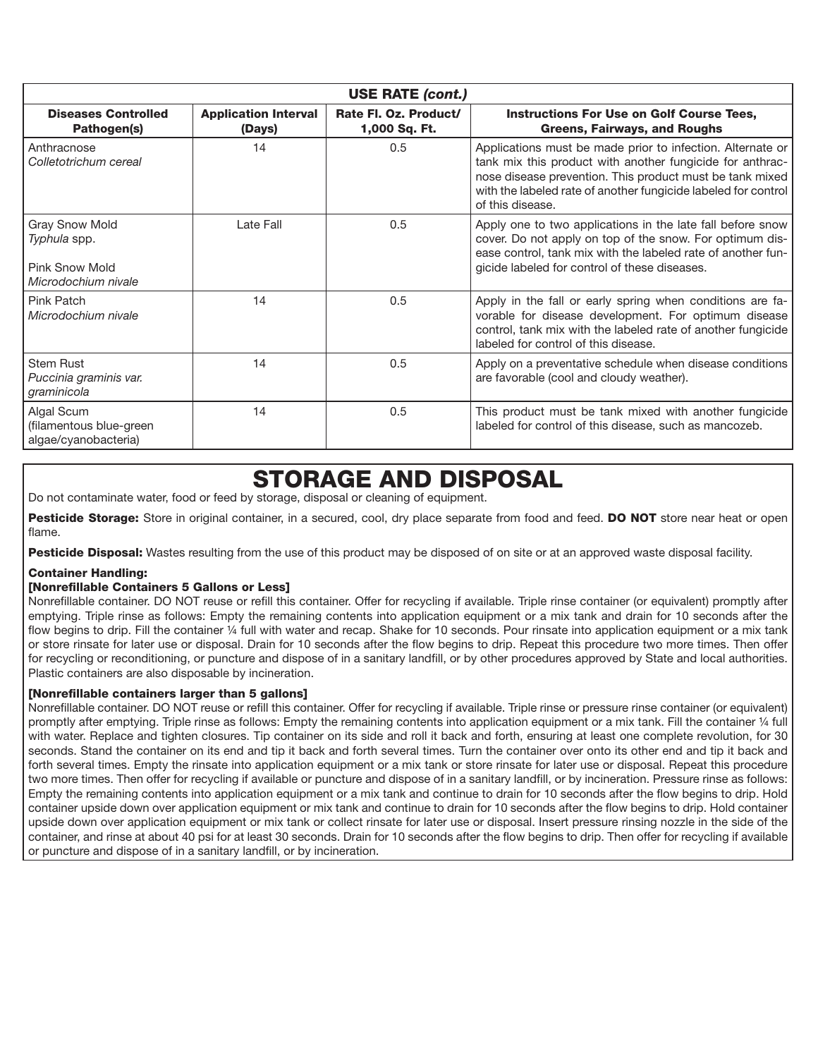| <b>USE RATE (cont.)</b>                                                               |                                       |                                        |                                                                                                                                                                                                                                                                           |  |  |  |
|---------------------------------------------------------------------------------------|---------------------------------------|----------------------------------------|---------------------------------------------------------------------------------------------------------------------------------------------------------------------------------------------------------------------------------------------------------------------------|--|--|--|
| <b>Diseases Controlled</b><br>Pathogen(s)                                             | <b>Application Interval</b><br>(Days) | Rate Fl. Oz. Product/<br>1,000 Sq. Ft. | <b>Instructions For Use on Golf Course Tees,</b><br>Greens, Fairways, and Roughs                                                                                                                                                                                          |  |  |  |
| Anthracnose<br>Colletotrichum cereal                                                  | 14                                    | 0.5                                    | Applications must be made prior to infection. Alternate or<br>tank mix this product with another fungicide for anthrac-<br>nose disease prevention. This product must be tank mixed<br>with the labeled rate of another fungicide labeled for control<br>of this disease. |  |  |  |
| <b>Gray Snow Mold</b><br>Typhula spp.<br><b>Pink Snow Mold</b><br>Microdochium nivale | Late Fall                             | 0.5                                    | Apply one to two applications in the late fall before snow<br>cover. Do not apply on top of the snow. For optimum dis-<br>ease control, tank mix with the labeled rate of another fun-<br>gicide labeled for control of these diseases.                                   |  |  |  |
| Pink Patch<br>Microdochium nivale                                                     | 14                                    | 0.5                                    | Apply in the fall or early spring when conditions are fa-<br>vorable for disease development. For optimum disease<br>control, tank mix with the labeled rate of another fungicide<br>labeled for control of this disease.                                                 |  |  |  |
| <b>Stem Rust</b><br>Puccinia graminis var.<br>graminicola                             | 14                                    | 0.5                                    | Apply on a preventative schedule when disease conditions<br>are favorable (cool and cloudy weather).                                                                                                                                                                      |  |  |  |
| Algal Scum<br>(filamentous blue-green<br>algae/cyanobacteria)                         | 14                                    | 0.5                                    | This product must be tank mixed with another fungicide<br>labeled for control of this disease, such as mancozeb.                                                                                                                                                          |  |  |  |

## STORAGE AND DISPOSAL

Do not contaminate water, food or feed by storage, disposal or cleaning of equipment.

Pesticide Storage: Store in original container, in a secured, cool, dry place separate from food and feed. DO NOT store near heat or open flame.

Pesticide Disposal: Wastes resulting from the use of this product may be disposed of on site or at an approved waste disposal facility.

#### Container Handling:

#### [Nonrefillable Containers 5 Gallons or Less]

Nonrefillable container. DO NOT reuse or refill this container. Offer for recycling if available. Triple rinse container (or equivalent) promptly after emptying. Triple rinse as follows: Empty the remaining contents into application equipment or a mix tank and drain for 10 seconds after the flow begins to drip. Fill the container 1/4 full with water and recap. Shake for 10 seconds. Pour rinsate into application equipment or a mix tank or store rinsate for later use or disposal. Drain for 10 seconds after the flow begins to drip. Repeat this procedure two more times. Then offer for recycling or reconditioning, or puncture and dispose of in a sanitary landfill, or by other procedures approved by State and local authorities. Plastic containers are also disposable by incineration.

#### [Nonrefillable containers larger than 5 gallons]

Nonrefillable container. DO NOT reuse or refill this container. Offer for recycling if available. Triple rinse or pressure rinse container (or equivalent) promptly after emptying. Triple rinse as follows: Empty the remaining contents into application equipment or a mix tank. Fill the container ¼ full with water. Replace and tighten closures. Tip container on its side and roll it back and forth, ensuring at least one complete revolution, for 30 seconds. Stand the container on its end and tip it back and forth several times. Turn the container over onto its other end and tip it back and forth several times. Empty the rinsate into application equipment or a mix tank or store rinsate for later use or disposal. Repeat this procedure two more times. Then offer for recycling if available or puncture and dispose of in a sanitary landfill, or by incineration. Pressure rinse as follows: Empty the remaining contents into application equipment or a mix tank and continue to drain for 10 seconds after the flow begins to drip. Hold container upside down over application equipment or mix tank and continue to drain for 10 seconds after the flow begins to drip. Hold container upside down over application equipment or mix tank or collect rinsate for later use or disposal. Insert pressure rinsing nozzle in the side of the container, and rinse at about 40 psi for at least 30 seconds. Drain for 10 seconds after the flow begins to drip. Then offer for recycling if available or puncture and dispose of in a sanitary landfill, or by incineration.